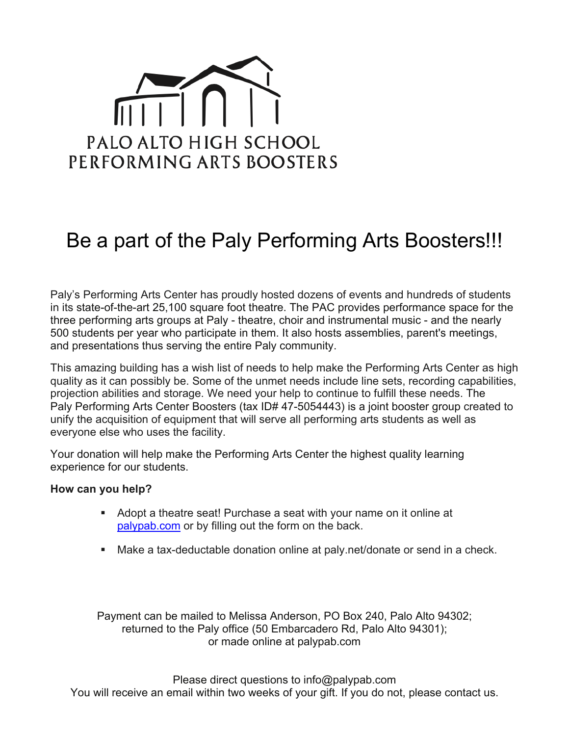

## Be a part of the Paly Performing Arts Boosters!!!

Paly's Performing Arts Center has proudly hosted dozens of events and hundreds of students in its state-of-the-art 25,100 square foot theatre. The PAC provides performance space for the three performing arts groups at Paly - theatre, choir and instrumental music - and the nearly 500 students per year who participate in them. It also hosts assemblies, parent's meetings, and presentations thus serving the entire Paly community.

This amazing building has a wish list of needs to help make the Performing Arts Center as high quality as it can possibly be. Some of the unmet needs include line sets, recording capabilities, projection abilities and storage. We need your help to continue to fulfill these needs. The Paly Performing Arts Center Boosters (tax ID# 47-5054443) is a joint booster group created to unify the acquisition of equipment that will serve all performing arts students as well as everyone else who uses the facility.

Your donation will help make the Performing Arts Center the highest quality learning experience for our students.

## **How can you help?**

- § Adopt a theatre seat! Purchase a seat with your name on it online at palypab.com or by filling out the form on the back.
- Make a tax-deductable donation online at paly.net/donate or send in a check.

Payment can be mailed to Melissa Anderson, PO Box 240, Palo Alto 94302; returned to the Paly office (50 Embarcadero Rd, Palo Alto 94301); or made online at palypab.com